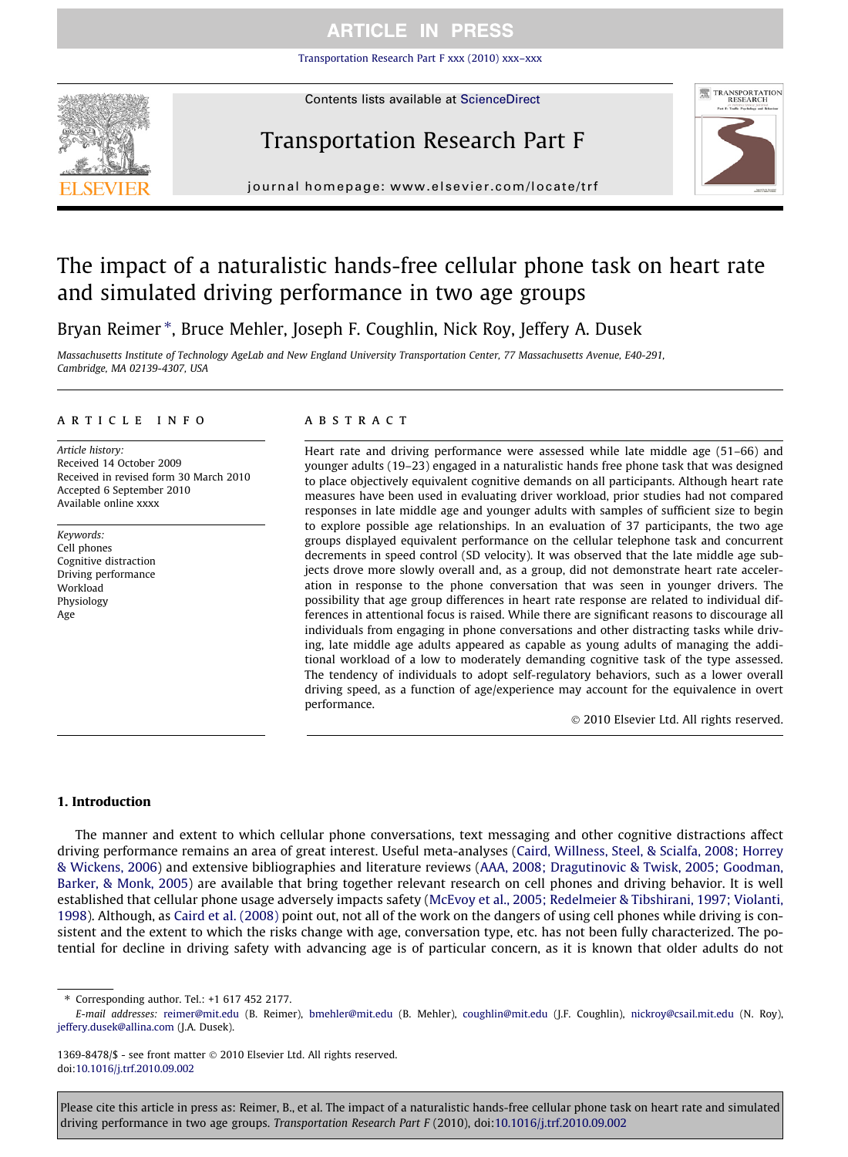[Transportation Research Part F xxx \(2010\) xxx–xxx](http://dx.doi.org/10.1016/j.trf.2010.09.002)



Contents lists available at [ScienceDirect](http://www.sciencedirect.com/science/journal/13698478)

# Transportation Research Part F



journal homepage: www.el [sevier.com/locate/trf](http://www.elsevier.com/locate/trf)

# The impact of a naturalistic hands-free cellular phone task on heart rate and simulated driving performance in two age groups

Bryan Reimer \*, Bruce Mehler, Joseph F. Coughlin, Nick Roy, Jeffery A. Dusek

Massachusetts Institute of Technology AgeLab and New England University Transportation Center, 77 Massachusetts Avenue, E40-291, Cambridge, MA 02139-4307, USA

#### article info

Article history: Received 14 October 2009 Received in revised form 30 March 2010 Accepted 6 September 2010 Available online xxxx

Keywords: Cell phones Cognitive distraction Driving performance Workload **Physiology** Age

### ABSTRACT

Heart rate and driving performance were assessed while late middle age (51–66) and younger adults (19–23) engaged in a naturalistic hands free phone task that was designed to place objectively equivalent cognitive demands on all participants. Although heart rate measures have been used in evaluating driver workload, prior studies had not compared responses in late middle age and younger adults with samples of sufficient size to begin to explore possible age relationships. In an evaluation of 37 participants, the two age groups displayed equivalent performance on the cellular telephone task and concurrent decrements in speed control (SD velocity). It was observed that the late middle age subjects drove more slowly overall and, as a group, did not demonstrate heart rate acceleration in response to the phone conversation that was seen in younger drivers. The possibility that age group differences in heart rate response are related to individual differences in attentional focus is raised. While there are significant reasons to discourage all individuals from engaging in phone conversations and other distracting tasks while driving, late middle age adults appeared as capable as young adults of managing the additional workload of a low to moderately demanding cognitive task of the type assessed. The tendency of individuals to adopt self-regulatory behaviors, such as a lower overall driving speed, as a function of age/experience may account for the equivalence in overt performance.

- 2010 Elsevier Ltd. All rights reserved.

#### 1. Introduction

The manner and extent to which cellular phone conversations, text messaging and other cognitive distractions affect driving performance remains an area of great interest. Useful meta-analyses ([Caird, Willness, Steel, & Scialfa, 2008; Horrey](#page-10-0) [& Wickens, 2006\)](#page-10-0) and extensive bibliographies and literature reviews [\(AAA, 2008; Dragutinovic & Twisk, 2005; Goodman,](#page-10-0) [Barker, & Monk, 2005\)](#page-10-0) are available that bring together relevant research on cell phones and driving behavior. It is well established that cellular phone usage adversely impacts safety ([McEvoy et al., 2005; Redelmeier & Tibshirani, 1997; Violanti,](#page-11-0) [1998\)](#page-11-0). Although, as [Caird et al. \(2008\)](#page-10-0) point out, not all of the work on the dangers of using cell phones while driving is consistent and the extent to which the risks change with age, conversation type, etc. has not been fully characterized. The potential for decline in driving safety with advancing age is of particular concern, as it is known that older adults do not

⇑ Corresponding author. Tel.: +1 617 452 2177.

1369-8478/\$ - see front matter © 2010 Elsevier Ltd. All rights reserved. doi:[10.1016/j.trf.2010.09.002](http://dx.doi.org/10.1016/j.trf.2010.09.002)

E-mail addresses: [reimer@mit.edu](mailto:reimer@mit.edu) (B. Reimer), [bmehler@mit.edu](mailto:bmehler@mit.edu) (B. Mehler), [coughlin@mit.edu](mailto:coughlin@mit.edu) (J.F. Coughlin), [nickroy@csail.mit.edu](mailto:nickroy@csail.mit.edu) (N. Roy), [jeffery.dusek@allina.com](mailto:jeffery.dusek@allina.com) (J.A. Dusek).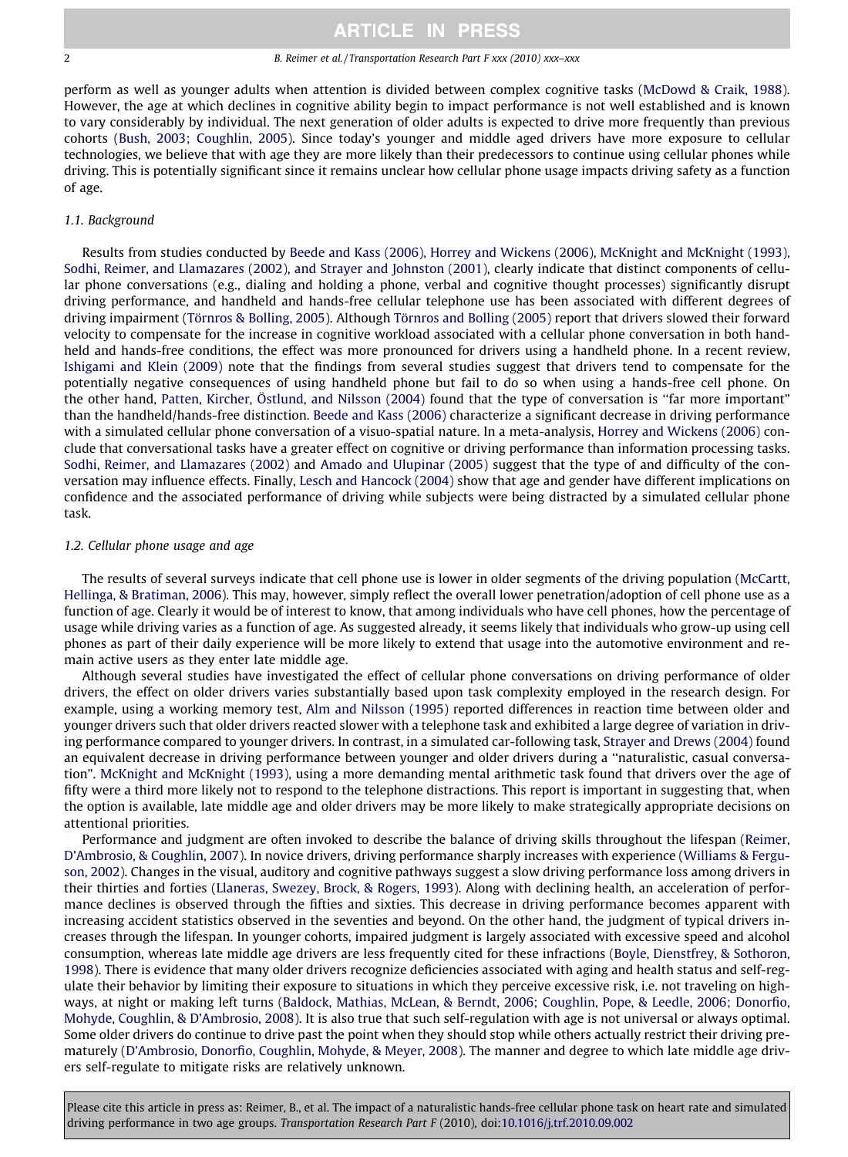#### 2 B. Reimer et al. / Transportation Research Part F xxx (2010) xxx–xxx

perform as well as younger adults when attention is divided between complex cognitive tasks [\(McDowd & Craik, 1988](#page-11-0)). However, the age at which declines in cognitive ability begin to impact performance is not well established and is known to vary considerably by individual. The next generation of older adults is expected to drive more frequently than previous cohorts [\(Bush, 2003; Coughlin, 2005\)](#page-10-0). Since today's younger and middle aged drivers have more exposure to cellular technologies, we believe that with age they are more likely than their predecessors to continue using cellular phones while driving. This is potentially significant since it remains unclear how cellular phone usage impacts driving safety as a function of age.

# 1.1. Background

Results from studies conducted by [Beede and Kass \(2006\), Horrey and Wickens \(2006\), McKnight and McKnight \(1993\),](#page-10-0) [Sodhi, Reimer, and Llamazares \(2002\), and Strayer and Johnston \(2001\),](#page-10-0) clearly indicate that distinct components of cellular phone conversations (e.g., dialing and holding a phone, verbal and cognitive thought processes) significantly disrupt driving performance, and handheld and hands-free cellular telephone use has been associated with different degrees of driving impairment [\(Törnros & Bolling, 2005\)](#page-12-0). Although [Törnros and Bolling \(2005\)](#page-12-0) report that drivers slowed their forward velocity to compensate for the increase in cognitive workload associated with a cellular phone conversation in both handheld and hands-free conditions, the effect was more pronounced for drivers using a handheld phone. In a recent review, [Ishigami and Klein \(2009\)](#page-11-0) note that the findings from several studies suggest that drivers tend to compensate for the potentially negative consequences of using handheld phone but fail to do so when using a hands-free cell phone. On the other hand, [Patten, Kircher, Östlund, and Nilsson \(2004\)](#page-11-0) found that the type of conversation is ''far more important" than the handheld/hands-free distinction. [Beede and Kass \(2006\)](#page-10-0) characterize a significant decrease in driving performance with a simulated cellular phone conversation of a visuo-spatial nature. In a meta-analysis, [Horrey and Wickens \(2006\)](#page-11-0) conclude that conversational tasks have a greater effect on cognitive or driving performance than information processing tasks. [Sodhi, Reimer, and Llamazares \(2002\)](#page-12-0) and [Amado and Ulupinar \(2005\)](#page-10-0) suggest that the type of and difficulty of the conversation may influence effects. Finally, [Lesch and Hancock \(2004\)](#page-11-0) show that age and gender have different implications on confidence and the associated performance of driving while subjects were being distracted by a simulated cellular phone task.

# 1.2. Cellular phone usage and age

The results of several surveys indicate that cell phone use is lower in older segments of the driving population [\(McCartt,](#page-11-0) [Hellinga, & Bratiman, 2006](#page-11-0)). This may, however, simply reflect the overall lower penetration/adoption of cell phone use as a function of age. Clearly it would be of interest to know, that among individuals who have cell phones, how the percentage of usage while driving varies as a function of age. As suggested already, it seems likely that individuals who grow-up using cell phones as part of their daily experience will be more likely to extend that usage into the automotive environment and remain active users as they enter late middle age.

Although several studies have investigated the effect of cellular phone conversations on driving performance of older drivers, the effect on older drivers varies substantially based upon task complexity employed in the research design. For example, using a working memory test, [Alm and Nilsson \(1995\)](#page-10-0) reported differences in reaction time between older and younger drivers such that older drivers reacted slower with a telephone task and exhibited a large degree of variation in driving performance compared to younger drivers. In contrast, in a simulated car-following task, [Strayer and Drews \(2004\)](#page-12-0) found an equivalent decrease in driving performance between younger and older drivers during a ''naturalistic, casual conversation". [McKnight and McKnight \(1993\)](#page-11-0), using a more demanding mental arithmetic task found that drivers over the age of fifty were a third more likely not to respond to the telephone distractions. This report is important in suggesting that, when the option is available, late middle age and older drivers may be more likely to make strategically appropriate decisions on attentional priorities.

Performance and judgment are often invoked to describe the balance of driving skills throughout the lifespan ([Reimer,](#page-11-0) [D'Ambrosio, & Coughlin, 2007\)](#page-11-0). In novice drivers, driving performance sharply increases with experience [\(Williams & Fergu](#page-12-0)[son, 2002](#page-12-0)). Changes in the visual, auditory and cognitive pathways suggest a slow driving performance loss among drivers in their thirties and forties ([Llaneras, Swezey, Brock, & Rogers, 1993](#page-11-0)). Along with declining health, an acceleration of performance declines is observed through the fifties and sixties. This decrease in driving performance becomes apparent with increasing accident statistics observed in the seventies and beyond. On the other hand, the judgment of typical drivers increases through the lifespan. In younger cohorts, impaired judgment is largely associated with excessive speed and alcohol consumption, whereas late middle age drivers are less frequently cited for these infractions [\(Boyle, Dienstfrey, & Sothoron,](#page-10-0) [1998](#page-10-0)). There is evidence that many older drivers recognize deficiencies associated with aging and health status and self-regulate their behavior by limiting their exposure to situations in which they perceive excessive risk, i.e. not traveling on highways, at night or making left turns ([Baldock, Mathias, McLean, & Berndt, 2006; Coughlin, Pope, & Leedle, 2006; Donorfio,](#page-10-0) [Mohyde, Coughlin, & D'Ambrosio, 2008](#page-10-0)). It is also true that such self-regulation with age is not universal or always optimal. Some older drivers do continue to drive past the point when they should stop while others actually restrict their driving prematurely ([D'Ambrosio, Donorfio, Coughlin, Mohyde, & Meyer, 2008](#page-11-0)). The manner and degree to which late middle age drivers self-regulate to mitigate risks are relatively unknown.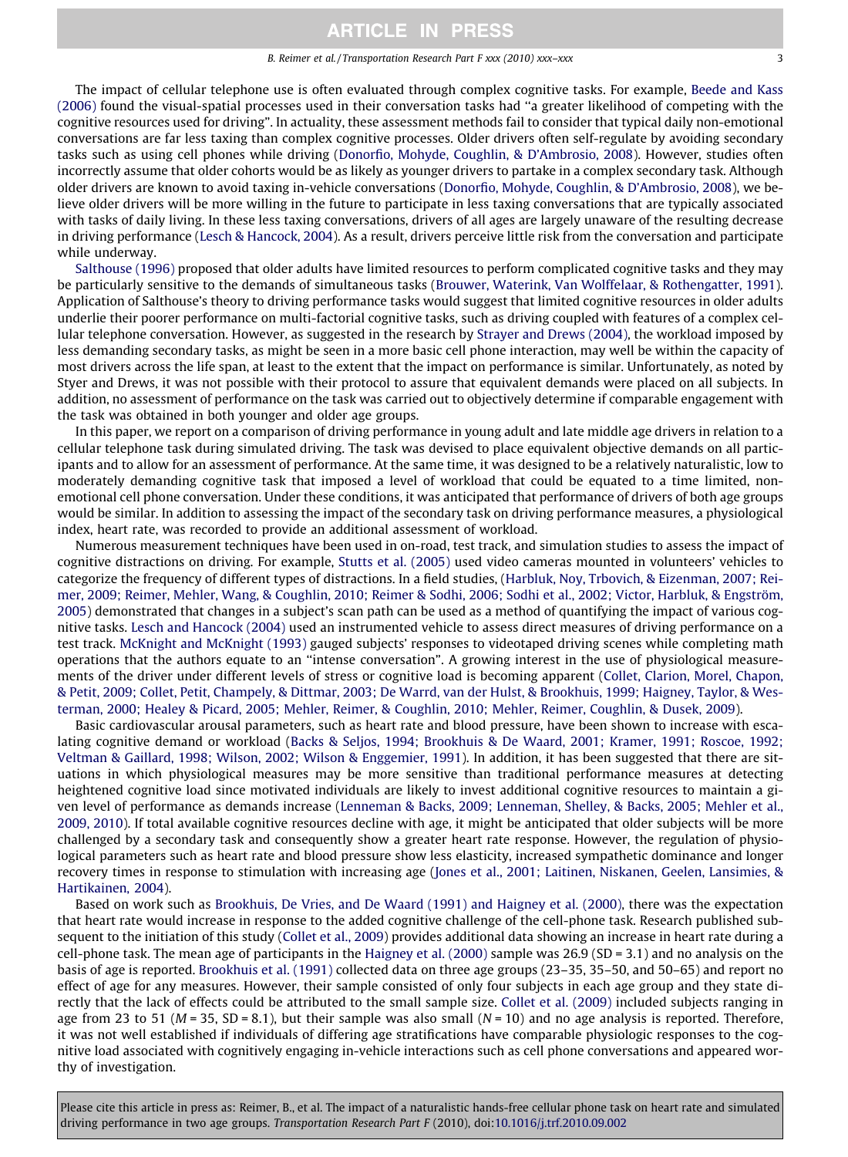#### B. Reimer et al. / Transportation Research Part F xxx (2010) xxx-xxx

The impact of cellular telephone use is often evaluated through complex cognitive tasks. For example, [Beede and Kass](#page-10-0) [\(2006\)](#page-10-0) found the visual-spatial processes used in their conversation tasks had ''a greater likelihood of competing with the cognitive resources used for driving". In actuality, these assessment methods fail to consider that typical daily non-emotional conversations are far less taxing than complex cognitive processes. Older drivers often self-regulate by avoiding secondary tasks such as using cell phones while driving ([Donorfio, Mohyde, Coughlin, & D'Ambrosio, 2008\)](#page-11-0). However, studies often incorrectly assume that older cohorts would be as likely as younger drivers to partake in a complex secondary task. Although older drivers are known to avoid taxing in-vehicle conversations [\(Donorfio, Mohyde, Coughlin, & D'Ambrosio, 2008](#page-11-0)), we believe older drivers will be more willing in the future to participate in less taxing conversations that are typically associated with tasks of daily living. In these less taxing conversations, drivers of all ages are largely unaware of the resulting decrease in driving performance [\(Lesch & Hancock, 2004\)](#page-11-0). As a result, drivers perceive little risk from the conversation and participate while underway.

[Salthouse \(1996\)](#page-12-0) proposed that older adults have limited resources to perform complicated cognitive tasks and they may be particularly sensitive to the demands of simultaneous tasks ([Brouwer, Waterink, Van Wolffelaar, & Rothengatter, 1991](#page-10-0)). Application of Salthouse's theory to driving performance tasks would suggest that limited cognitive resources in older adults underlie their poorer performance on multi-factorial cognitive tasks, such as driving coupled with features of a complex cellular telephone conversation. However, as suggested in the research by [Strayer and Drews \(2004\)](#page-12-0), the workload imposed by less demanding secondary tasks, as might be seen in a more basic cell phone interaction, may well be within the capacity of most drivers across the life span, at least to the extent that the impact on performance is similar. Unfortunately, as noted by Styer and Drews, it was not possible with their protocol to assure that equivalent demands were placed on all subjects. In addition, no assessment of performance on the task was carried out to objectively determine if comparable engagement with the task was obtained in both younger and older age groups.

In this paper, we report on a comparison of driving performance in young adult and late middle age drivers in relation to a cellular telephone task during simulated driving. The task was devised to place equivalent objective demands on all participants and to allow for an assessment of performance. At the same time, it was designed to be a relatively naturalistic, low to moderately demanding cognitive task that imposed a level of workload that could be equated to a time limited, nonemotional cell phone conversation. Under these conditions, it was anticipated that performance of drivers of both age groups would be similar. In addition to assessing the impact of the secondary task on driving performance measures, a physiological index, heart rate, was recorded to provide an additional assessment of workload.

Numerous measurement techniques have been used in on-road, test track, and simulation studies to assess the impact of cognitive distractions on driving. For example, [Stutts et al. \(2005\)](#page-12-0) used video cameras mounted in volunteers' vehicles to categorize the frequency of different types of distractions. In a field studies, ([Harbluk, Noy, Trbovich, & Eizenman, 2007; Rei](#page-11-0)[mer, 2009; Reimer, Mehler, Wang, & Coughlin, 2010; Reimer & Sodhi, 2006; Sodhi et al., 2002; Victor, Harbluk, & Engström,](#page-11-0) [2005\)](#page-11-0) demonstrated that changes in a subject's scan path can be used as a method of quantifying the impact of various cognitive tasks. [Lesch and Hancock \(2004\)](#page-11-0) used an instrumented vehicle to assess direct measures of driving performance on a test track. [McKnight and McKnight \(1993\)](#page-11-0) gauged subjects' responses to videotaped driving scenes while completing math operations that the authors equate to an ''intense conversation". A growing interest in the use of physiological measurements of the driver under different levels of stress or cognitive load is becoming apparent ([Collet, Clarion, Morel, Chapon,](#page-10-0) [& Petit, 2009; Collet, Petit, Champely, & Dittmar, 2003; De Warrd, van der Hulst, & Brookhuis, 1999; Haigney, Taylor, & Wes](#page-10-0)[terman, 2000; Healey & Picard, 2005; Mehler, Reimer, & Coughlin, 2010; Mehler, Reimer, Coughlin, & Dusek, 2009](#page-10-0)).

Basic cardiovascular arousal parameters, such as heart rate and blood pressure, have been shown to increase with escalating cognitive demand or workload ([Backs & Seljos, 1994; Brookhuis & De Waard, 2001; Kramer, 1991; Roscoe, 1992;](#page-10-0) [Veltman & Gaillard, 1998; Wilson, 2002; Wilson & Enggemier, 1991\)](#page-10-0). In addition, it has been suggested that there are situations in which physiological measures may be more sensitive than traditional performance measures at detecting heightened cognitive load since motivated individuals are likely to invest additional cognitive resources to maintain a given level of performance as demands increase ([Lenneman & Backs, 2009; Lenneman, Shelley, & Backs, 2005; Mehler et al.,](#page-11-0) [2009, 2010\)](#page-11-0). If total available cognitive resources decline with age, it might be anticipated that older subjects will be more challenged by a secondary task and consequently show a greater heart rate response. However, the regulation of physiological parameters such as heart rate and blood pressure show less elasticity, increased sympathetic dominance and longer recovery times in response to stimulation with increasing age [\(Jones et al., 2001; Laitinen, Niskanen, Geelen, Lansimies, &](#page-11-0) [Hartikainen, 2004](#page-11-0)).

Based on work such as [Brookhuis, De Vries, and De Waard \(1991\) and Haigney et al. \(2000\)](#page-10-0), there was the expectation that heart rate would increase in response to the added cognitive challenge of the cell-phone task. Research published subsequent to the initiation of this study ([Collet et al., 2009](#page-10-0)) provides additional data showing an increase in heart rate during a cell-phone task. The mean age of participants in the [Haigney et al. \(2000\)](#page-11-0) sample was 26.9 (SD = 3.1) and no analysis on the basis of age is reported. [Brookhuis et al. \(1991\)](#page-10-0) collected data on three age groups (23–35, 35–50, and 50–65) and report no effect of age for any measures. However, their sample consisted of only four subjects in each age group and they state directly that the lack of effects could be attributed to the small sample size. [Collet et al. \(2009\)](#page-10-0) included subjects ranging in age from 23 to 51 ( $M = 35$ , SD = 8.1), but their sample was also small ( $N = 10$ ) and no age analysis is reported. Therefore, it was not well established if individuals of differing age stratifications have comparable physiologic responses to the cognitive load associated with cognitively engaging in-vehicle interactions such as cell phone conversations and appeared worthy of investigation.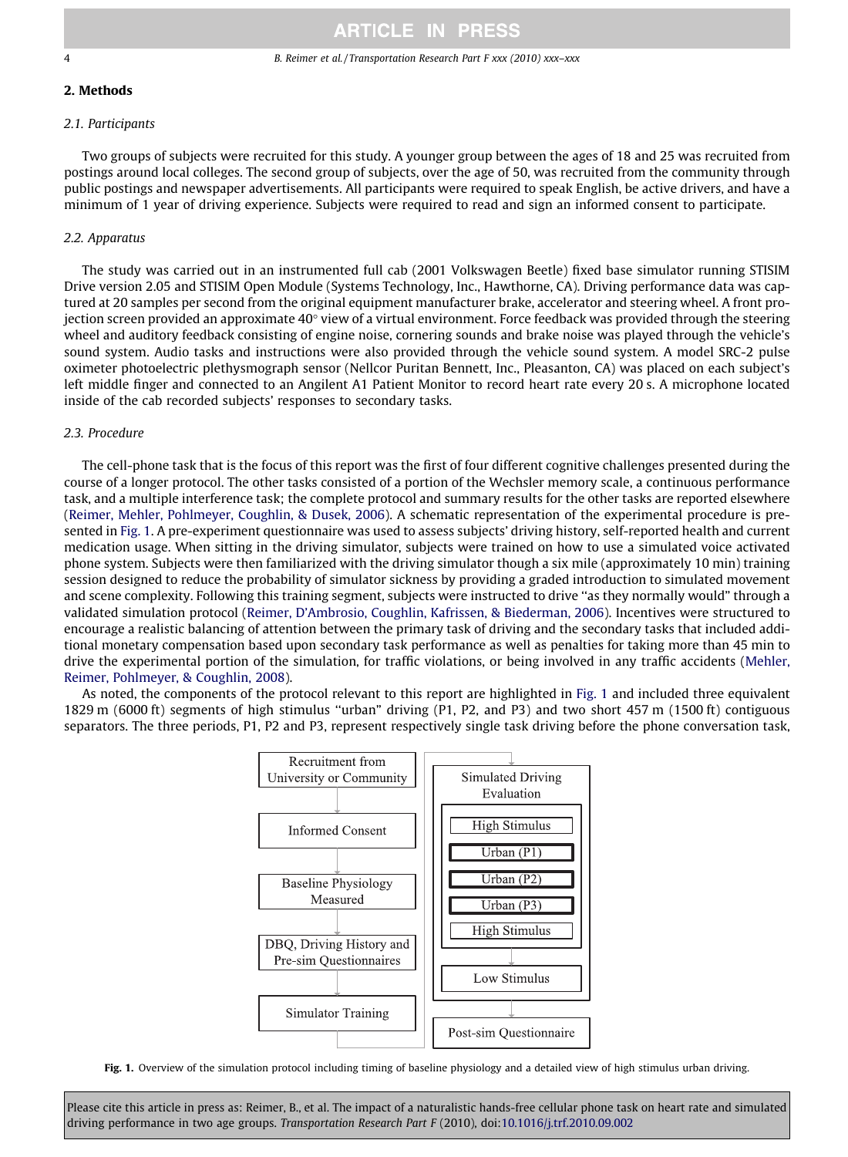### 4 B. Reimer et al. / Transportation Research Part F xxx (2010) xxx–xxx

# 2. Methods

# 2.1. Participants

Two groups of subjects were recruited for this study. A younger group between the ages of 18 and 25 was recruited from postings around local colleges. The second group of subjects, over the age of 50, was recruited from the community through public postings and newspaper advertisements. All participants were required to speak English, be active drivers, and have a minimum of 1 year of driving experience. Subjects were required to read and sign an informed consent to participate.

### 2.2. Apparatus

The study was carried out in an instrumented full cab (2001 Volkswagen Beetle) fixed base simulator running STISIM Drive version 2.05 and STISIM Open Module (Systems Technology, Inc., Hawthorne, CA). Driving performance data was captured at 20 samples per second from the original equipment manufacturer brake, accelerator and steering wheel. A front projection screen provided an approximate  $40^\circ$  view of a virtual environment. Force feedback was provided through the steering wheel and auditory feedback consisting of engine noise, cornering sounds and brake noise was played through the vehicle's sound system. Audio tasks and instructions were also provided through the vehicle sound system. A model SRC-2 pulse oximeter photoelectric plethysmograph sensor (Nellcor Puritan Bennett, Inc., Pleasanton, CA) was placed on each subject's left middle finger and connected to an Angilent A1 Patient Monitor to record heart rate every 20 s. A microphone located inside of the cab recorded subjects' responses to secondary tasks.

## 2.3. Procedure

The cell-phone task that is the focus of this report was the first of four different cognitive challenges presented during the course of a longer protocol. The other tasks consisted of a portion of the Wechsler memory scale, a continuous performance task, and a multiple interference task; the complete protocol and summary results for the other tasks are reported elsewhere [\(Reimer, Mehler, Pohlmeyer, Coughlin, & Dusek, 2006](#page-12-0)). A schematic representation of the experimental procedure is presented in Fig. 1. A pre-experiment questionnaire was used to assess subjects' driving history, self-reported health and current medication usage. When sitting in the driving simulator, subjects were trained on how to use a simulated voice activated phone system. Subjects were then familiarized with the driving simulator though a six mile (approximately 10 min) training session designed to reduce the probability of simulator sickness by providing a graded introduction to simulated movement and scene complexity. Following this training segment, subjects were instructed to drive ''as they normally would" through a validated simulation protocol ([Reimer, D'Ambrosio, Coughlin, Kafrissen, & Biederman, 2006\)](#page-12-0). Incentives were structured to encourage a realistic balancing of attention between the primary task of driving and the secondary tasks that included additional monetary compensation based upon secondary task performance as well as penalties for taking more than 45 min to drive the experimental portion of the simulation, for traffic violations, or being involved in any traffic accidents ([Mehler,](#page-11-0) [Reimer, Pohlmeyer, & Coughlin, 2008](#page-11-0)).

As noted, the components of the protocol relevant to this report are highlighted in Fig. 1 and included three equivalent 1829 m (6000 ft) segments of high stimulus ''urban" driving (P1, P2, and P3) and two short 457 m (1500 ft) contiguous separators. The three periods, P1, P2 and P3, represent respectively single task driving before the phone conversation task,



Fig. 1. Overview of the simulation protocol including timing of baseline physiology and a detailed view of high stimulus urban driving.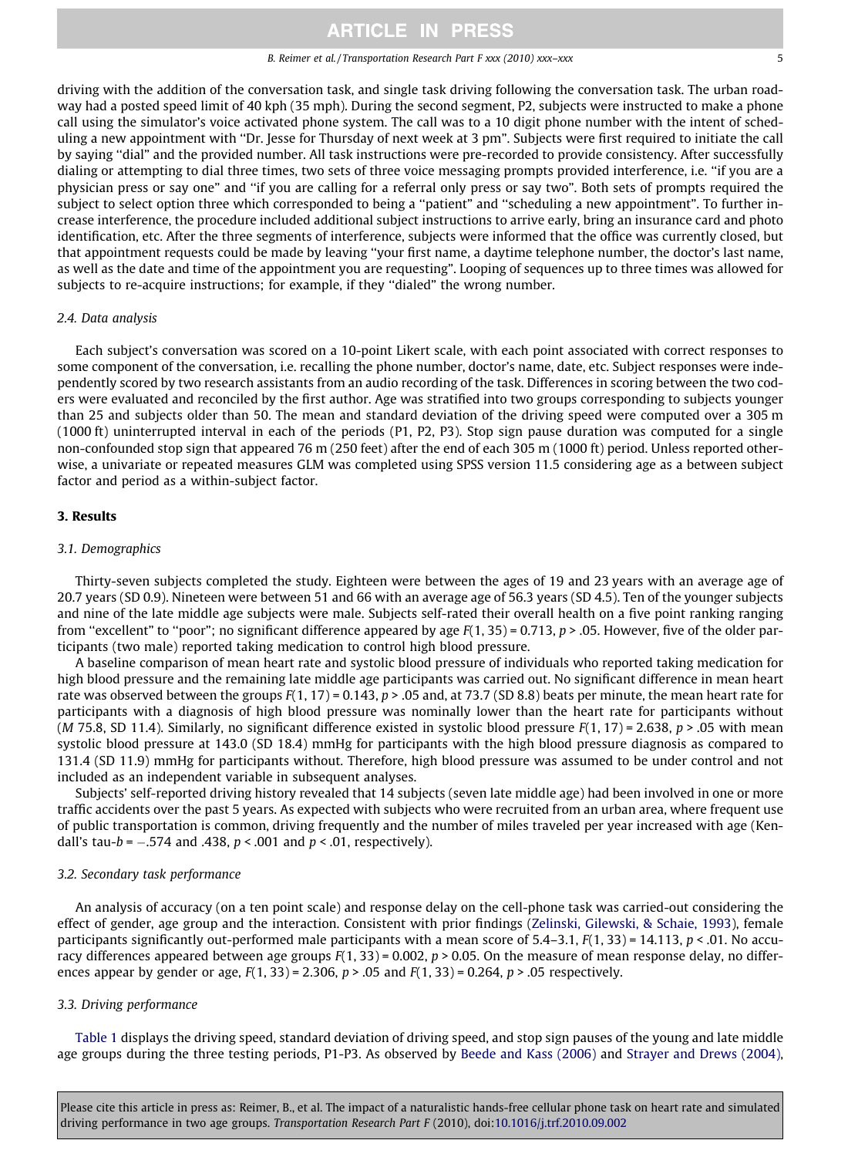#### B. Reimer et al. / Transportation Research Part F xxx (2010) xxx–xxx 5

driving with the addition of the conversation task, and single task driving following the conversation task. The urban roadway had a posted speed limit of 40 kph (35 mph). During the second segment, P2, subjects were instructed to make a phone call using the simulator's voice activated phone system. The call was to a 10 digit phone number with the intent of scheduling a new appointment with ''Dr. Jesse for Thursday of next week at 3 pm". Subjects were first required to initiate the call by saying ''dial" and the provided number. All task instructions were pre-recorded to provide consistency. After successfully dialing or attempting to dial three times, two sets of three voice messaging prompts provided interference, i.e. ''if you are a physician press or say one" and ''if you are calling for a referral only press or say two". Both sets of prompts required the subject to select option three which corresponded to being a ''patient" and ''scheduling a new appointment". To further increase interference, the procedure included additional subject instructions to arrive early, bring an insurance card and photo identification, etc. After the three segments of interference, subjects were informed that the office was currently closed, but that appointment requests could be made by leaving ''your first name, a daytime telephone number, the doctor's last name, as well as the date and time of the appointment you are requesting". Looping of sequences up to three times was allowed for subjects to re-acquire instructions; for example, if they ''dialed" the wrong number.

#### 2.4. Data analysis

Each subject's conversation was scored on a 10-point Likert scale, with each point associated with correct responses to some component of the conversation, i.e. recalling the phone number, doctor's name, date, etc. Subject responses were independently scored by two research assistants from an audio recording of the task. Differences in scoring between the two coders were evaluated and reconciled by the first author. Age was stratified into two groups corresponding to subjects younger than 25 and subjects older than 50. The mean and standard deviation of the driving speed were computed over a 305 m (1000 ft) uninterrupted interval in each of the periods (P1, P2, P3). Stop sign pause duration was computed for a single non-confounded stop sign that appeared 76 m (250 feet) after the end of each 305 m (1000 ft) period. Unless reported otherwise, a univariate or repeated measures GLM was completed using SPSS version 11.5 considering age as a between subject factor and period as a within-subject factor.

### 3. Results

#### 3.1. Demographics

Thirty-seven subjects completed the study. Eighteen were between the ages of 19 and 23 years with an average age of 20.7 years (SD 0.9). Nineteen were between 51 and 66 with an average age of 56.3 years (SD 4.5). Ten of the younger subjects and nine of the late middle age subjects were male. Subjects self-rated their overall health on a five point ranking ranging from "excellent" to "poor"; no significant difference appeared by age  $F(1, 35) = 0.713$ ,  $p > 0.05$ . However, five of the older participants (two male) reported taking medication to control high blood pressure.

A baseline comparison of mean heart rate and systolic blood pressure of individuals who reported taking medication for high blood pressure and the remaining late middle age participants was carried out. No significant difference in mean heart rate was observed between the groups  $F(1, 17) = 0.143$ ,  $p > .05$  and, at 73.7 (SD 8.8) beats per minute, the mean heart rate for participants with a diagnosis of high blood pressure was nominally lower than the heart rate for participants without (*M* 75.8, SD 11.4). Similarly, no significant difference existed in systolic blood pressure  $F(1, 17) = 2.638$ ,  $p > .05$  with mean systolic blood pressure at 143.0 (SD 18.4) mmHg for participants with the high blood pressure diagnosis as compared to 131.4 (SD 11.9) mmHg for participants without. Therefore, high blood pressure was assumed to be under control and not included as an independent variable in subsequent analyses.

Subjects' self-reported driving history revealed that 14 subjects (seven late middle age) had been involved in one or more traffic accidents over the past 5 years. As expected with subjects who were recruited from an urban area, where frequent use of public transportation is common, driving frequently and the number of miles traveled per year increased with age (Kendall's tau-b =  $-.574$  and .438, p < .001 and p < .01, respectively).

### 3.2. Secondary task performance

An analysis of accuracy (on a ten point scale) and response delay on the cell-phone task was carried-out considering the effect of gender, age group and the interaction. Consistent with prior findings ([Zelinski, Gilewski, & Schaie, 1993\)](#page-12-0), female participants significantly out-performed male participants with a mean score of  $5.4-3.1$ ,  $F(1, 33) = 14.113$ ,  $p < .01$ . No accuracy differences appeared between age groups  $F(1, 33) = 0.002$ ,  $p > 0.05$ . On the measure of mean response delay, no differences appear by gender or age,  $F(1, 33) = 2.306$ ,  $p > .05$  and  $F(1, 33) = 0.264$ ,  $p > .05$  respectively.

### 3.3. Driving performance

[Table 1](#page-5-0) displays the driving speed, standard deviation of driving speed, and stop sign pauses of the young and late middle age groups during the three testing periods, P1-P3. As observed by [Beede and Kass \(2006\)](#page-10-0) and [Strayer and Drews \(2004\)](#page-12-0),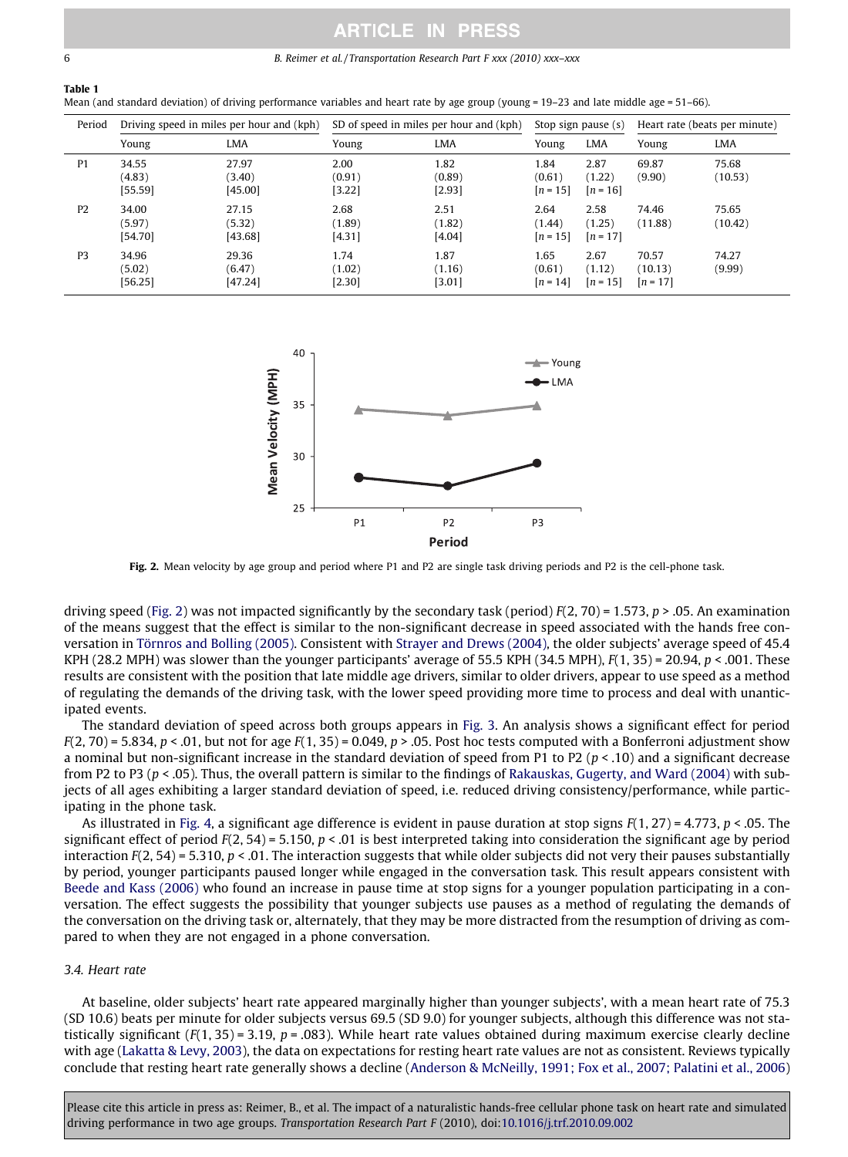#### <span id="page-5-0"></span>6 B. Reimer et al. / Transportation Research Part F xxx (2010) xxx–xxx

# Table 1

|  |  |  |  | Mean (and standard deviation) of driving performance variables and heart rate by age group (young = 19–23 and late middle age = 51–66). |  |  |  |  |  |  |  |
|--|--|--|--|-----------------------------------------------------------------------------------------------------------------------------------------|--|--|--|--|--|--|--|
|--|--|--|--|-----------------------------------------------------------------------------------------------------------------------------------------|--|--|--|--|--|--|--|

| Period         |                            | Driving speed in miles per hour and (kph) | SD of speed in miles per hour and (kph) |                          | Stop sign pause (s)          |                              | Heart rate (beats per minute)  |                  |
|----------------|----------------------------|-------------------------------------------|-----------------------------------------|--------------------------|------------------------------|------------------------------|--------------------------------|------------------|
|                | Young                      | LMA                                       | Young                                   | <b>LMA</b>               | Young                        | <b>LMA</b>                   | Young                          | <b>LMA</b>       |
| P <sub>1</sub> | 34.55<br>(4.83)<br>[55.59] | 27.97<br>(3.40)<br>[45.00]                | 2.00<br>(0.91)<br>[3.22]                | 1.82<br>(0.89)<br>[2.93] | 1.84<br>(0.61)<br>$[n = 15]$ | 2.87<br>(1.22)<br>$[n = 16]$ | 69.87<br>(9.90)                | 75.68<br>(10.53) |
| P <sub>2</sub> | 34.00<br>(5.97)<br>[54.70] | 27.15<br>(5.32)<br>[43.68]                | 2.68<br>(1.89)<br>[4.31]                | 2.51<br>(1.82)<br>[4.04] | 2.64<br>(1.44)<br>$[n = 15]$ | 2.58<br>(1.25)<br>$[n = 17]$ | 74.46<br>(11.88)               | 75.65<br>(10.42) |
| P <sub>3</sub> | 34.96<br>(5.02)<br>[56.25] | 29.36<br>(6.47)<br>[47.24]                | 1.74<br>(1.02)<br>[2.30]                | 1.87<br>(1.16)<br>[3.01] | 1.65<br>(0.61)<br>$[n = 14]$ | 2.67<br>(1.12)<br>$[n = 15]$ | 70.57<br>(10.13)<br>$[n = 17]$ | 74.27<br>(9.99)  |



Fig. 2. Mean velocity by age group and period where P1 and P2 are single task driving periods and P2 is the cell-phone task.

driving speed (Fig. 2) was not impacted significantly by the secondary task (period)  $F(2, 70) = 1.573$ ,  $p > .05$ . An examination of the means suggest that the effect is similar to the non-significant decrease in speed associated with the hands free conversation in [Törnros and Bolling \(2005\).](#page-12-0) Consistent with [Strayer and Drews \(2004\)](#page-12-0), the older subjects' average speed of 45.4 KPH (28.2 MPH) was slower than the younger participants' average of 55.5 KPH (34.5 MPH),  $F(1, 35) = 20.94$ ,  $p < .001$ . These results are consistent with the position that late middle age drivers, similar to older drivers, appear to use speed as a method of regulating the demands of the driving task, with the lower speed providing more time to process and deal with unanticipated events.

The standard deviation of speed across both groups appears in [Fig. 3.](#page-6-0) An analysis shows a significant effect for period  $F(2, 70) = 5.834$ ,  $p < .01$ , but not for age  $F(1, 35) = 0.049$ ,  $p > .05$ . Post hoc tests computed with a Bonferroni adjustment show a nominal but non-significant increase in the standard deviation of speed from P1 to P2 ( $p < 0.10$ ) and a significant decrease from P2 to P3 ( $p <$  .05). Thus, the overall pattern is similar to the findings of [Rakauskas, Gugerty, and Ward \(2004\)](#page-11-0) with subjects of all ages exhibiting a larger standard deviation of speed, i.e. reduced driving consistency/performance, while participating in the phone task.

As illustrated in [Fig. 4,](#page-6-0) a significant age difference is evident in pause duration at stop signs  $F(1, 27) = 4.773$ ,  $p < .05$ . The significant effect of period  $F(2, 54) = 5.150$ ,  $p < .01$  is best interpreted taking into consideration the significant age by period interaction  $F(2, 54) = 5.310$ ,  $p < 0.01$ . The interaction suggests that while older subjects did not very their pauses substantially by period, younger participants paused longer while engaged in the conversation task. This result appears consistent with [Beede and Kass \(2006\)](#page-10-0) who found an increase in pause time at stop signs for a younger population participating in a conversation. The effect suggests the possibility that younger subjects use pauses as a method of regulating the demands of the conversation on the driving task or, alternately, that they may be more distracted from the resumption of driving as compared to when they are not engaged in a phone conversation.

#### 3.4. Heart rate

At baseline, older subjects' heart rate appeared marginally higher than younger subjects', with a mean heart rate of 75.3 (SD 10.6) beats per minute for older subjects versus 69.5 (SD 9.0) for younger subjects, although this difference was not statistically significant ( $F(1, 35) = 3.19$ ,  $p = .083$ ). While heart rate values obtained during maximum exercise clearly decline with age [\(Lakatta & Levy, 2003\)](#page-11-0), the data on expectations for resting heart rate values are not as consistent. Reviews typically conclude that resting heart rate generally shows a decline ([Anderson & McNeilly, 1991; Fox et al., 2007; Palatini et al., 2006](#page-10-0))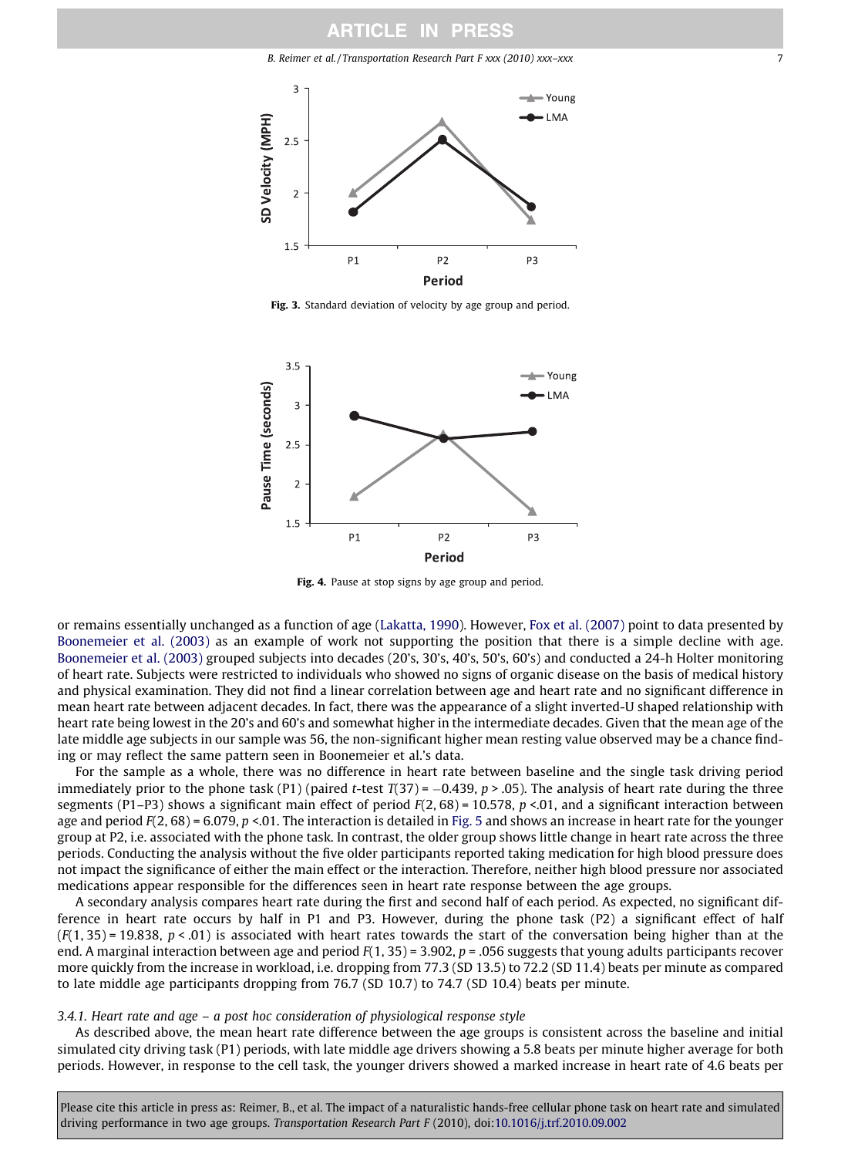<span id="page-6-0"></span>

Fig. 3. Standard deviation of velocity by age group and period.



Fig. 4. Pause at stop signs by age group and period.

or remains essentially unchanged as a function of age [\(Lakatta, 1990\)](#page-11-0). However, [Fox et al. \(2007\)](#page-11-0) point to data presented by [Boonemeier et al. \(2003\)](#page-10-0) as an example of work not supporting the position that there is a simple decline with age. [Boonemeier et al. \(2003\)](#page-10-0) grouped subjects into decades (20's, 30's, 40's, 50's, 60's) and conducted a 24-h Holter monitoring of heart rate. Subjects were restricted to individuals who showed no signs of organic disease on the basis of medical history and physical examination. They did not find a linear correlation between age and heart rate and no significant difference in mean heart rate between adjacent decades. In fact, there was the appearance of a slight inverted-U shaped relationship with heart rate being lowest in the 20's and 60's and somewhat higher in the intermediate decades. Given that the mean age of the late middle age subjects in our sample was 56, the non-significant higher mean resting value observed may be a chance finding or may reflect the same pattern seen in Boonemeier et al.'s data.

For the sample as a whole, there was no difference in heart rate between baseline and the single task driving period immediately prior to the phone task (P1) (paired t-test T(37) =  $-0.439$ , p > .05). The analysis of heart rate during the three segments (P1–P3) shows a significant main effect of period  $F(2, 68) = 10.578$ ,  $p < 0.01$ , and a significant interaction between age and period  $F(2, 68) = 6.079$ ,  $p < 01$ . The interaction is detailed in [Fig. 5](#page-7-0) and shows an increase in heart rate for the younger group at P2, i.e. associated with the phone task. In contrast, the older group shows little change in heart rate across the three periods. Conducting the analysis without the five older participants reported taking medication for high blood pressure does not impact the significance of either the main effect or the interaction. Therefore, neither high blood pressure nor associated medications appear responsible for the differences seen in heart rate response between the age groups.

A secondary analysis compares heart rate during the first and second half of each period. As expected, no significant difference in heart rate occurs by half in P1 and P3. However, during the phone task (P2) a significant effect of half  $(F(1, 35) = 19.838, p < .01)$  is associated with heart rates towards the start of the conversation being higher than at the end. A marginal interaction between age and period  $F(1, 35) = 3.902$ ,  $p = .056$  suggests that young adults participants recover more quickly from the increase in workload, i.e. dropping from 77.3 (SD 13.5) to 72.2 (SD 11.4) beats per minute as compared to late middle age participants dropping from 76.7 (SD 10.7) to 74.7 (SD 10.4) beats per minute.

#### 3.4.1. Heart rate and age – a post hoc consideration of physiological response style

As described above, the mean heart rate difference between the age groups is consistent across the baseline and initial simulated city driving task (P1) periods, with late middle age drivers showing a 5.8 beats per minute higher average for both periods. However, in response to the cell task, the younger drivers showed a marked increase in heart rate of 4.6 beats per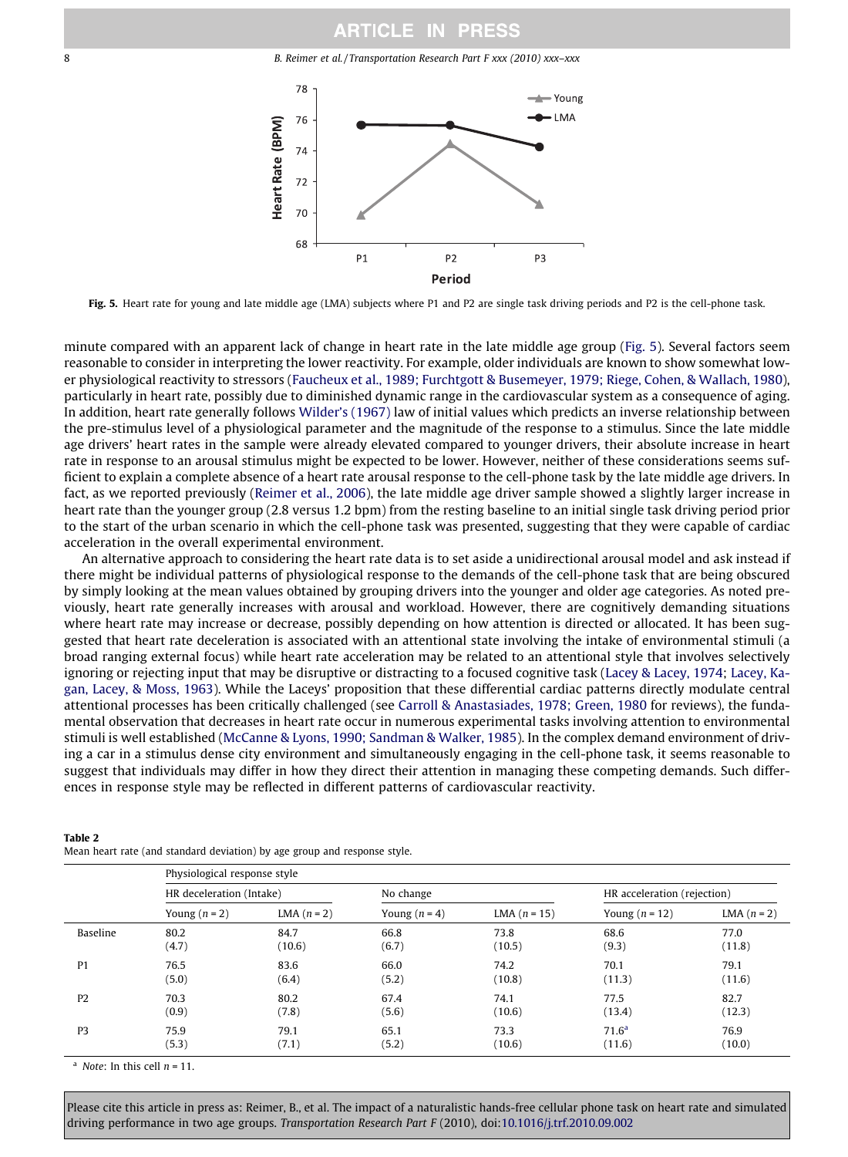<span id="page-7-0"></span>8 B. Reimer et al. / Transportation Research Part F xxx (2010) xxx–xxx



Fig. 5. Heart rate for young and late middle age (LMA) subjects where P1 and P2 are single task driving periods and P2 is the cell-phone task.

minute compared with an apparent lack of change in heart rate in the late middle age group (Fig. 5). Several factors seem reasonable to consider in interpreting the lower reactivity. For example, older individuals are known to show somewhat lower physiological reactivity to stressors ([Faucheux et al., 1989; Furchtgott & Busemeyer, 1979; Riege, Cohen, & Wallach, 1980\)](#page-11-0), particularly in heart rate, possibly due to diminished dynamic range in the cardiovascular system as a consequence of aging. In addition, heart rate generally follows [Wilder's \(1967\)](#page-12-0) law of initial values which predicts an inverse relationship between the pre-stimulus level of a physiological parameter and the magnitude of the response to a stimulus. Since the late middle age drivers' heart rates in the sample were already elevated compared to younger drivers, their absolute increase in heart rate in response to an arousal stimulus might be expected to be lower. However, neither of these considerations seems sufficient to explain a complete absence of a heart rate arousal response to the cell-phone task by the late middle age drivers. In fact, as we reported previously ([Reimer et al., 2006\)](#page-12-0), the late middle age driver sample showed a slightly larger increase in heart rate than the younger group (2.8 versus 1.2 bpm) from the resting baseline to an initial single task driving period prior to the start of the urban scenario in which the cell-phone task was presented, suggesting that they were capable of cardiac acceleration in the overall experimental environment.

An alternative approach to considering the heart rate data is to set aside a unidirectional arousal model and ask instead if there might be individual patterns of physiological response to the demands of the cell-phone task that are being obscured by simply looking at the mean values obtained by grouping drivers into the younger and older age categories. As noted previously, heart rate generally increases with arousal and workload. However, there are cognitively demanding situations where heart rate may increase or decrease, possibly depending on how attention is directed or allocated. It has been suggested that heart rate deceleration is associated with an attentional state involving the intake of environmental stimuli (a broad ranging external focus) while heart rate acceleration may be related to an attentional style that involves selectively ignoring or rejecting input that may be disruptive or distracting to a focused cognitive task ([Lacey & Lacey, 1974](#page-11-0); [Lacey, Ka](#page-11-0)[gan, Lacey, & Moss, 1963](#page-11-0)). While the Laceys' proposition that these differential cardiac patterns directly modulate central attentional processes has been critically challenged (see [Carroll & Anastasiades, 1978; Green, 1980](#page-10-0) for reviews), the fundamental observation that decreases in heart rate occur in numerous experimental tasks involving attention to environmental stimuli is well established [\(McCanne & Lyons, 1990; Sandman & Walker, 1985\)](#page-11-0). In the complex demand environment of driving a car in a stimulus dense city environment and simultaneously engaging in the cell-phone task, it seems reasonable to suggest that individuals may differ in how they direct their attention in managing these competing demands. Such differences in response style may be reflected in different patterns of cardiovascular reactivity.

|                | Physiological response style |             |                 |                |                             |             |  |  |  |
|----------------|------------------------------|-------------|-----------------|----------------|-----------------------------|-------------|--|--|--|
|                | HR deceleration (Intake)     |             | No change       |                | HR acceleration (rejection) |             |  |  |  |
|                | Young $(n = 2)$              | LMA $(n=2)$ | Young $(n = 4)$ | LMA $(n = 15)$ | Young $(n = 12)$            | LMA $(n=2)$ |  |  |  |
| Baseline       | 80.2                         | 84.7        | 66.8            | 73.8           | 68.6                        | 77.0        |  |  |  |
|                | (4.7)                        | (10.6)      | (6.7)           | (10.5)         | (9.3)                       | (11.8)      |  |  |  |
| P <sub>1</sub> | 76.5                         | 83.6        | 66.0            | 74.2           | 70.1                        | 79.1        |  |  |  |
|                | (5.0)                        | (6.4)       | (5.2)           | (10.8)         | (11.3)                      | (11.6)      |  |  |  |
| P <sub>2</sub> | 70.3                         | 80.2        | 67.4            | 74.1           | 77.5                        | 82.7        |  |  |  |
|                | (0.9)                        | (7.8)       | (5.6)           | (10.6)         | (13.4)                      | (12.3)      |  |  |  |
| P <sub>3</sub> | 75.9                         | 79.1        | 65.1            | 73.3           | 71.6 <sup>a</sup>           | 76.9        |  |  |  |
|                | (5.3)                        | (7.1)       | (5.2)           | (10.6)         | (11.6)                      | (10.0)      |  |  |  |

Table 2 Mean heart rate (and standard deviation) by age group and response style.

<sup>a</sup> Note: In this cell  $n = 11$ .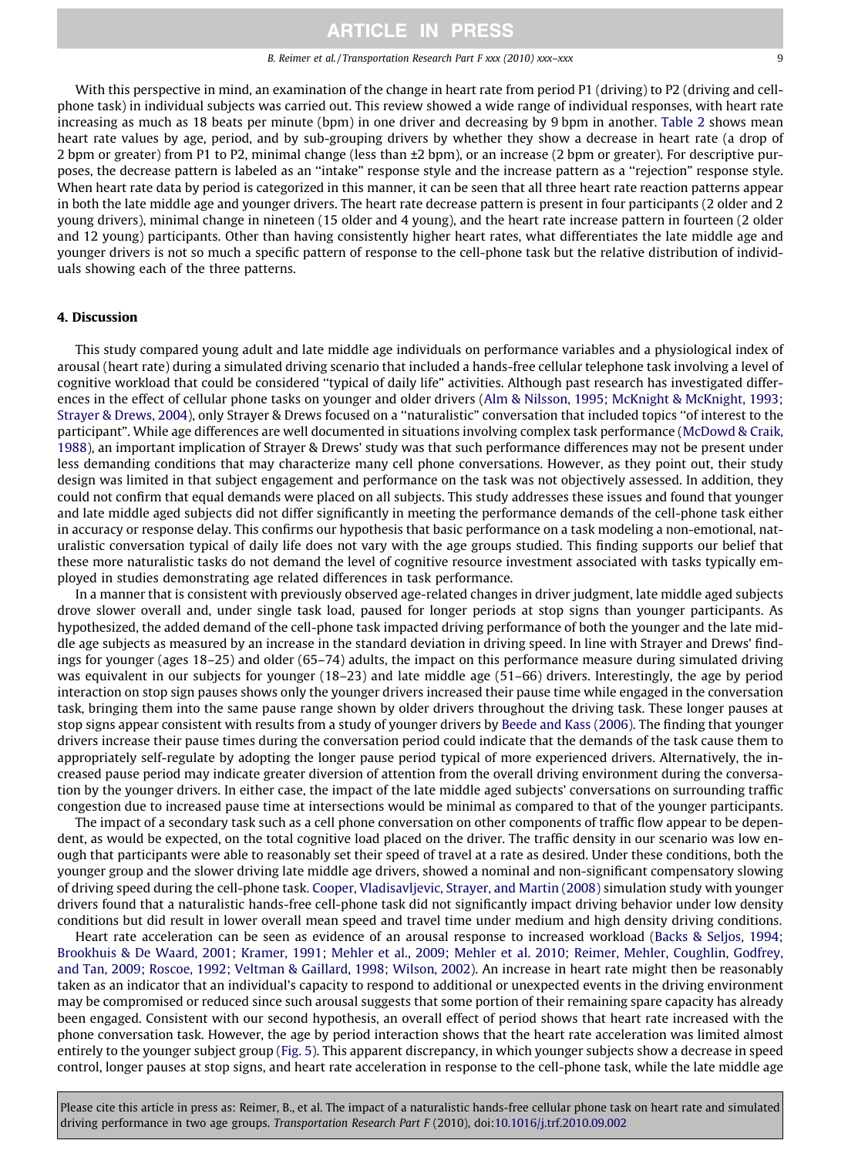B. Reimer et al. / Transportation Research Part F xxx (2010) xxx–xxx 9

With this perspective in mind, an examination of the change in heart rate from period P1 (driving) to P2 (driving and cellphone task) in individual subjects was carried out. This review showed a wide range of individual responses, with heart rate increasing as much as 18 beats per minute (bpm) in one driver and decreasing by 9 bpm in another. [Table 2](#page-7-0) shows mean heart rate values by age, period, and by sub-grouping drivers by whether they show a decrease in heart rate (a drop of 2 bpm or greater) from P1 to P2, minimal change (less than ±2 bpm), or an increase (2 bpm or greater). For descriptive purposes, the decrease pattern is labeled as an ''intake" response style and the increase pattern as a ''rejection" response style. When heart rate data by period is categorized in this manner, it can be seen that all three heart rate reaction patterns appear in both the late middle age and younger drivers. The heart rate decrease pattern is present in four participants (2 older and 2 young drivers), minimal change in nineteen (15 older and 4 young), and the heart rate increase pattern in fourteen (2 older and 12 young) participants. Other than having consistently higher heart rates, what differentiates the late middle age and younger drivers is not so much a specific pattern of response to the cell-phone task but the relative distribution of individuals showing each of the three patterns.

### 4. Discussion

This study compared young adult and late middle age individuals on performance variables and a physiological index of arousal (heart rate) during a simulated driving scenario that included a hands-free cellular telephone task involving a level of cognitive workload that could be considered ''typical of daily life" activities. Although past research has investigated differences in the effect of cellular phone tasks on younger and older drivers ([Alm & Nilsson, 1995; McKnight & McKnight, 1993;](#page-10-0) [Strayer & Drews, 2004](#page-10-0)), only Strayer & Drews focused on a ''naturalistic" conversation that included topics ''of interest to the participant". While age differences are well documented in situations involving complex task performance [\(McDowd & Craik,](#page-11-0) [1988\)](#page-11-0), an important implication of Strayer & Drews' study was that such performance differences may not be present under less demanding conditions that may characterize many cell phone conversations. However, as they point out, their study design was limited in that subject engagement and performance on the task was not objectively assessed. In addition, they could not confirm that equal demands were placed on all subjects. This study addresses these issues and found that younger and late middle aged subjects did not differ significantly in meeting the performance demands of the cell-phone task either in accuracy or response delay. This confirms our hypothesis that basic performance on a task modeling a non-emotional, naturalistic conversation typical of daily life does not vary with the age groups studied. This finding supports our belief that these more naturalistic tasks do not demand the level of cognitive resource investment associated with tasks typically employed in studies demonstrating age related differences in task performance.

In a manner that is consistent with previously observed age-related changes in driver judgment, late middle aged subjects drove slower overall and, under single task load, paused for longer periods at stop signs than younger participants. As hypothesized, the added demand of the cell-phone task impacted driving performance of both the younger and the late middle age subjects as measured by an increase in the standard deviation in driving speed. In line with Strayer and Drews' findings for younger (ages 18–25) and older (65–74) adults, the impact on this performance measure during simulated driving was equivalent in our subjects for younger (18–23) and late middle age (51–66) drivers. Interestingly, the age by period interaction on stop sign pauses shows only the younger drivers increased their pause time while engaged in the conversation task, bringing them into the same pause range shown by older drivers throughout the driving task. These longer pauses at stop signs appear consistent with results from a study of younger drivers by [Beede and Kass \(2006\)](#page-10-0). The finding that younger drivers increase their pause times during the conversation period could indicate that the demands of the task cause them to appropriately self-regulate by adopting the longer pause period typical of more experienced drivers. Alternatively, the increased pause period may indicate greater diversion of attention from the overall driving environment during the conversation by the younger drivers. In either case, the impact of the late middle aged subjects' conversations on surrounding traffic congestion due to increased pause time at intersections would be minimal as compared to that of the younger participants.

The impact of a secondary task such as a cell phone conversation on other components of traffic flow appear to be dependent, as would be expected, on the total cognitive load placed on the driver. The traffic density in our scenario was low enough that participants were able to reasonably set their speed of travel at a rate as desired. Under these conditions, both the younger group and the slower driving late middle age drivers, showed a nominal and non-significant compensatory slowing of driving speed during the cell-phone task. [Cooper, Vladisavljevic, Strayer, and Martin \(2008\)](#page-10-0) simulation study with younger drivers found that a naturalistic hands-free cell-phone task did not significantly impact driving behavior under low density conditions but did result in lower overall mean speed and travel time under medium and high density driving conditions.

Heart rate acceleration can be seen as evidence of an arousal response to increased workload ([Backs & Seljos, 1994;](#page-10-0) [Brookhuis & De Waard, 2001; Kramer, 1991; Mehler et al., 2009; Mehler et al. 2010; Reimer, Mehler, Coughlin, Godfrey,](#page-10-0) [and Tan, 2009; Roscoe, 1992; Veltman & Gaillard, 1998; Wilson, 2002](#page-10-0)). An increase in heart rate might then be reasonably taken as an indicator that an individual's capacity to respond to additional or unexpected events in the driving environment may be compromised or reduced since such arousal suggests that some portion of their remaining spare capacity has already been engaged. Consistent with our second hypothesis, an overall effect of period shows that heart rate increased with the phone conversation task. However, the age by period interaction shows that the heart rate acceleration was limited almost entirely to the younger subject group ([Fig. 5](#page-7-0)). This apparent discrepancy, in which younger subjects show a decrease in speed control, longer pauses at stop signs, and heart rate acceleration in response to the cell-phone task, while the late middle age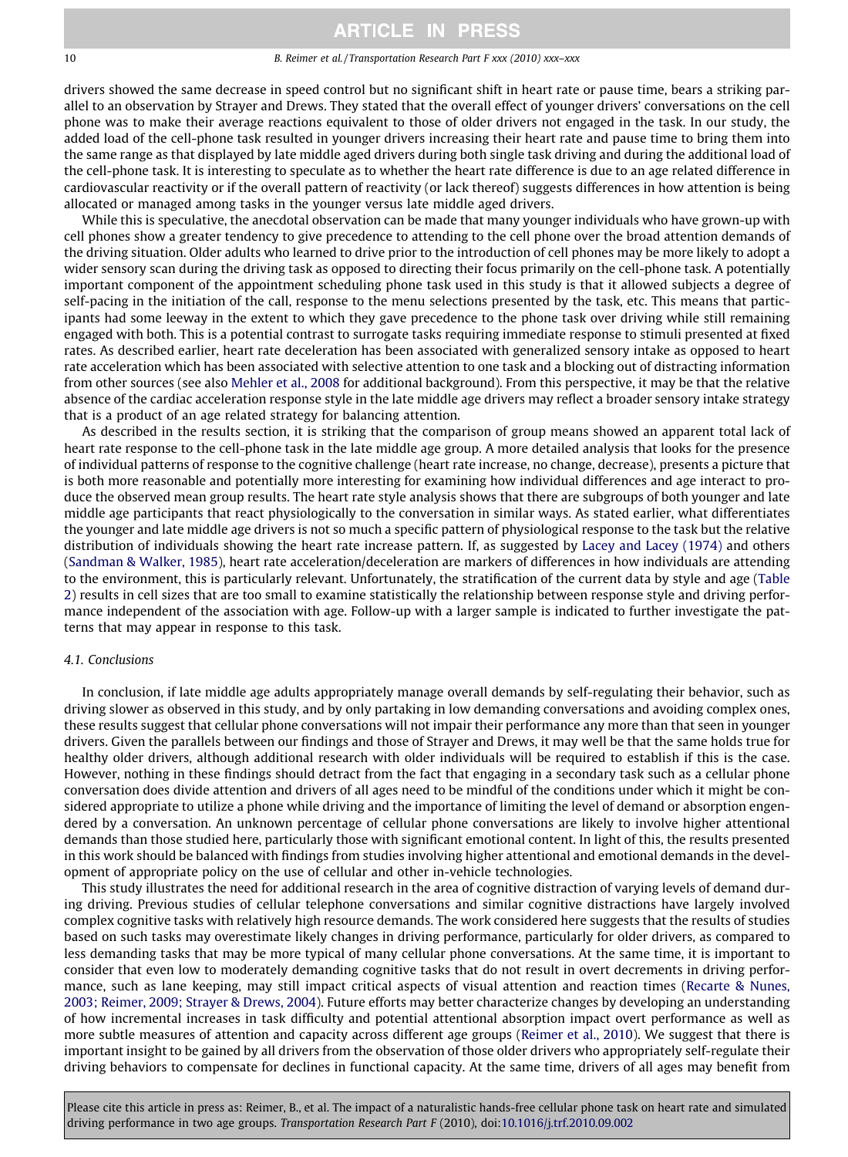#### 10 B. Reimer et al. / Transportation Research Part F xxx (2010) xxx–xxx

drivers showed the same decrease in speed control but no significant shift in heart rate or pause time, bears a striking parallel to an observation by Strayer and Drews. They stated that the overall effect of younger drivers' conversations on the cell phone was to make their average reactions equivalent to those of older drivers not engaged in the task. In our study, the added load of the cell-phone task resulted in younger drivers increasing their heart rate and pause time to bring them into the same range as that displayed by late middle aged drivers during both single task driving and during the additional load of the cell-phone task. It is interesting to speculate as to whether the heart rate difference is due to an age related difference in cardiovascular reactivity or if the overall pattern of reactivity (or lack thereof) suggests differences in how attention is being allocated or managed among tasks in the younger versus late middle aged drivers.

While this is speculative, the anecdotal observation can be made that many younger individuals who have grown-up with cell phones show a greater tendency to give precedence to attending to the cell phone over the broad attention demands of the driving situation. Older adults who learned to drive prior to the introduction of cell phones may be more likely to adopt a wider sensory scan during the driving task as opposed to directing their focus primarily on the cell-phone task. A potentially important component of the appointment scheduling phone task used in this study is that it allowed subjects a degree of self-pacing in the initiation of the call, response to the menu selections presented by the task, etc. This means that participants had some leeway in the extent to which they gave precedence to the phone task over driving while still remaining engaged with both. This is a potential contrast to surrogate tasks requiring immediate response to stimuli presented at fixed rates. As described earlier, heart rate deceleration has been associated with generalized sensory intake as opposed to heart rate acceleration which has been associated with selective attention to one task and a blocking out of distracting information from other sources (see also [Mehler et al., 2008](#page-11-0) for additional background). From this perspective, it may be that the relative absence of the cardiac acceleration response style in the late middle age drivers may reflect a broader sensory intake strategy that is a product of an age related strategy for balancing attention.

As described in the results section, it is striking that the comparison of group means showed an apparent total lack of heart rate response to the cell-phone task in the late middle age group. A more detailed analysis that looks for the presence of individual patterns of response to the cognitive challenge (heart rate increase, no change, decrease), presents a picture that is both more reasonable and potentially more interesting for examining how individual differences and age interact to produce the observed mean group results. The heart rate style analysis shows that there are subgroups of both younger and late middle age participants that react physiologically to the conversation in similar ways. As stated earlier, what differentiates the younger and late middle age drivers is not so much a specific pattern of physiological response to the task but the relative distribution of individuals showing the heart rate increase pattern. If, as suggested by [Lacey and Lacey \(1974\)](#page-11-0) and others [\(Sandman & Walker, 1985](#page-12-0)), heart rate acceleration/deceleration are markers of differences in how individuals are attending to the environment, this is particularly relevant. Unfortunately, the stratification of the current data by style and age [\(Table](#page-7-0) [2\)](#page-7-0) results in cell sizes that are too small to examine statistically the relationship between response style and driving performance independent of the association with age. Follow-up with a larger sample is indicated to further investigate the patterns that may appear in response to this task.

### 4.1. Conclusions

In conclusion, if late middle age adults appropriately manage overall demands by self-regulating their behavior, such as driving slower as observed in this study, and by only partaking in low demanding conversations and avoiding complex ones, these results suggest that cellular phone conversations will not impair their performance any more than that seen in younger drivers. Given the parallels between our findings and those of Strayer and Drews, it may well be that the same holds true for healthy older drivers, although additional research with older individuals will be required to establish if this is the case. However, nothing in these findings should detract from the fact that engaging in a secondary task such as a cellular phone conversation does divide attention and drivers of all ages need to be mindful of the conditions under which it might be considered appropriate to utilize a phone while driving and the importance of limiting the level of demand or absorption engendered by a conversation. An unknown percentage of cellular phone conversations are likely to involve higher attentional demands than those studied here, particularly those with significant emotional content. In light of this, the results presented in this work should be balanced with findings from studies involving higher attentional and emotional demands in the development of appropriate policy on the use of cellular and other in-vehicle technologies.

This study illustrates the need for additional research in the area of cognitive distraction of varying levels of demand during driving. Previous studies of cellular telephone conversations and similar cognitive distractions have largely involved complex cognitive tasks with relatively high resource demands. The work considered here suggests that the results of studies based on such tasks may overestimate likely changes in driving performance, particularly for older drivers, as compared to less demanding tasks that may be more typical of many cellular phone conversations. At the same time, it is important to consider that even low to moderately demanding cognitive tasks that do not result in overt decrements in driving performance, such as lane keeping, may still impact critical aspects of visual attention and reaction times ([Recarte & Nunes,](#page-11-0) [2003; Reimer, 2009; Strayer & Drews, 2004](#page-11-0)). Future efforts may better characterize changes by developing an understanding of how incremental increases in task difficulty and potential attentional absorption impact overt performance as well as more subtle measures of attention and capacity across different age groups ([Reimer et al., 2010](#page-12-0)). We suggest that there is important insight to be gained by all drivers from the observation of those older drivers who appropriately self-regulate their driving behaviors to compensate for declines in functional capacity. At the same time, drivers of all ages may benefit from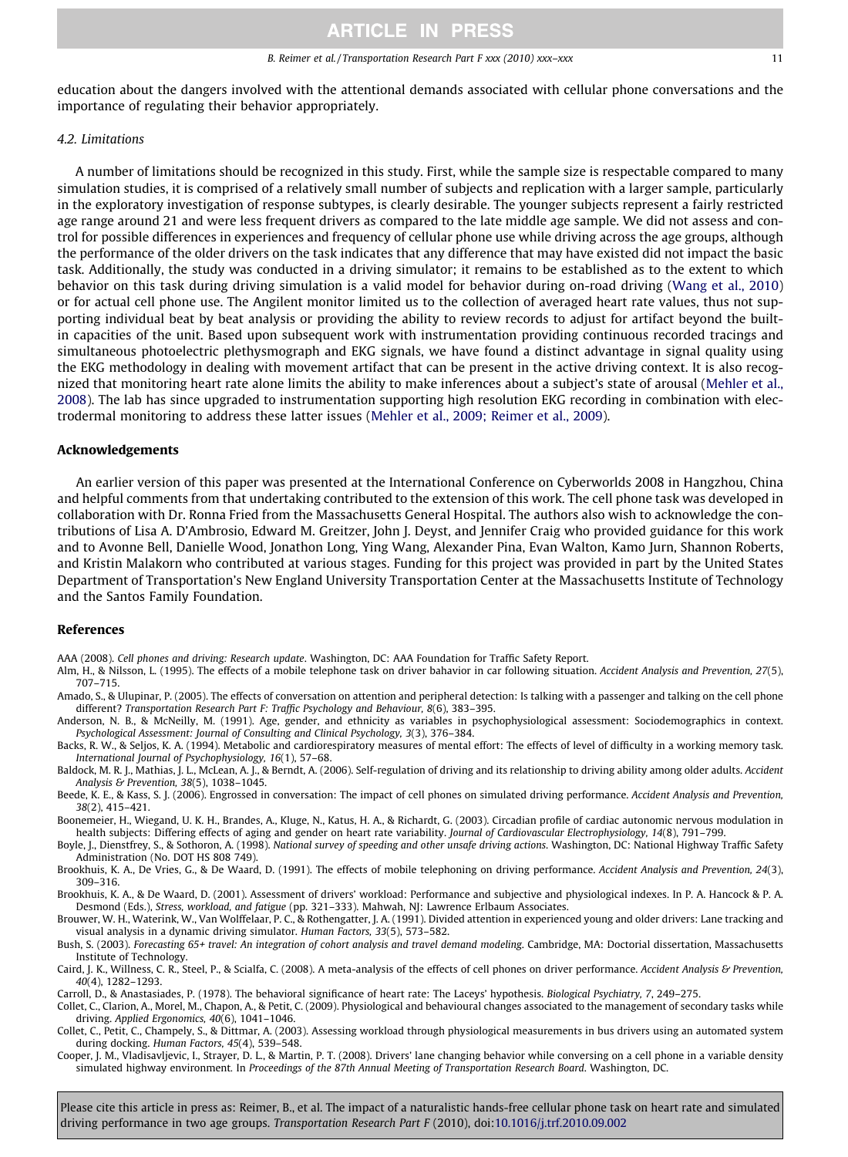<span id="page-10-0"></span>education about the dangers involved with the attentional demands associated with cellular phone conversations and the importance of regulating their behavior appropriately.

### 4.2. Limitations

A number of limitations should be recognized in this study. First, while the sample size is respectable compared to many simulation studies, it is comprised of a relatively small number of subjects and replication with a larger sample, particularly in the exploratory investigation of response subtypes, is clearly desirable. The younger subjects represent a fairly restricted age range around 21 and were less frequent drivers as compared to the late middle age sample. We did not assess and control for possible differences in experiences and frequency of cellular phone use while driving across the age groups, although the performance of the older drivers on the task indicates that any difference that may have existed did not impact the basic task. Additionally, the study was conducted in a driving simulator; it remains to be established as to the extent to which behavior on this task during driving simulation is a valid model for behavior during on-road driving ([Wang et al., 2010](#page-12-0)) or for actual cell phone use. The Angilent monitor limited us to the collection of averaged heart rate values, thus not supporting individual beat by beat analysis or providing the ability to review records to adjust for artifact beyond the builtin capacities of the unit. Based upon subsequent work with instrumentation providing continuous recorded tracings and simultaneous photoelectric plethysmograph and EKG signals, we have found a distinct advantage in signal quality using the EKG methodology in dealing with movement artifact that can be present in the active driving context. It is also recognized that monitoring heart rate alone limits the ability to make inferences about a subject's state of arousal [\(Mehler et al.,](#page-11-0) [2008\)](#page-11-0). The lab has since upgraded to instrumentation supporting high resolution EKG recording in combination with electrodermal monitoring to address these latter issues [\(Mehler et al., 2009; Reimer et al., 2009](#page-11-0)).

#### Acknowledgements

An earlier version of this paper was presented at the International Conference on Cyberworlds 2008 in Hangzhou, China and helpful comments from that undertaking contributed to the extension of this work. The cell phone task was developed in collaboration with Dr. Ronna Fried from the Massachusetts General Hospital. The authors also wish to acknowledge the contributions of Lisa A. D'Ambrosio, Edward M. Greitzer, John J. Deyst, and Jennifer Craig who provided guidance for this work and to Avonne Bell, Danielle Wood, Jonathon Long, Ying Wang, Alexander Pina, Evan Walton, Kamo Jurn, Shannon Roberts, and Kristin Malakorn who contributed at various stages. Funding for this project was provided in part by the United States Department of Transportation's New England University Transportation Center at the Massachusetts Institute of Technology and the Santos Family Foundation.

### References

AAA (2008). Cell phones and driving: Research update. Washington, DC: AAA Foundation for Traffic Safety Report.

- Alm, H., & Nilsson, L. (1995). The effects of a mobile telephone task on driver bahavior in car following situation. Accident Analysis and Prevention, 27(5), 707–715.
- Amado, S., & Ulupinar, P. (2005). The effects of conversation on attention and peripheral detection: Is talking with a passenger and talking on the cell phone different? Transportation Research Part F: Traffic Psychology and Behaviour, 8(6), 383–395.
- Anderson, N. B., & McNeilly, M. (1991). Age, gender, and ethnicity as variables in psychophysiological assessment: Sociodemographics in context. Psychological Assessment: Journal of Consulting and Clinical Psychology, 3(3), 376–384.
- Backs, R. W., & Seljos, K. A. (1994). Metabolic and cardiorespiratory measures of mental effort: The effects of level of difficulty in a working memory task. International Journal of Psychophysiology, 16(1), 57–68.
- Baldock, M. R. J., Mathias, J. L., McLean, A. J., & Berndt, A. (2006). Self-regulation of driving and its relationship to driving ability among older adults. Accident Analysis & Prevention, 38(5), 1038–1045.
- Beede, K. E., & Kass, S. J. (2006). Engrossed in conversation: The impact of cell phones on simulated driving performance. Accident Analysis and Prevention, 38(2), 415–421.
- Boonemeier, H., Wiegand, U. K. H., Brandes, A., Kluge, N., Katus, H. A., & Richardt, G. (2003). Circadian profile of cardiac autonomic nervous modulation in health subjects: Differing effects of aging and gender on heart rate variability. Journal of Cardiovascular Electrophysiology, 14(8), 791–799.
- Boyle, J., Dienstfrey, S., & Sothoron, A. (1998). National survey of speeding and other unsafe driving actions. Washington, DC: National Highway Traffic Safety Administration (No. DOT HS 808 749).
- Brookhuis, K. A., De Vries, G., & De Waard, D. (1991). The effects of mobile telephoning on driving performance. Accident Analysis and Prevention, 24(3), 309–316.
- Brookhuis, K. A., & De Waard, D. (2001). Assessment of drivers' workload: Performance and subjective and physiological indexes. In P. A. Hancock & P. A. Desmond (Eds.), Stress, workload, and fatigue (pp. 321–333). Mahwah, NJ: Lawrence Erlbaum Associates.
- Brouwer, W. H., Waterink, W., Van Wolffelaar, P. C., & Rothengatter, J. A. (1991). Divided attention in experienced young and older drivers: Lane tracking and visual analysis in a dynamic driving simulator. Human Factors, 33(5), 573–582.
- Bush, S. (2003). Forecasting 65+ travel: An integration of cohort analysis and travel demand modeling. Cambridge, MA: Doctorial dissertation, Massachusetts Institute of Technology.
- Caird, J. K., Willness, C. R., Steel, P., & Scialfa, C. (2008). A meta-analysis of the effects of cell phones on driver performance. Accident Analysis & Prevention, 40(4), 1282–1293.
- Carroll, D., & Anastasiades, P. (1978). The behavioral significance of heart rate: The Laceys' hypothesis. Biological Psychiatry, 7, 249–275.
- Collet, C., Clarion, A., Morel, M., Chapon, A., & Petit, C. (2009). Physiological and behavioural changes associated to the management of secondary tasks while driving. Applied Ergonomics, 40(6), 1041–1046.
- Collet, C., Petit, C., Champely, S., & Dittmar, A. (2003). Assessing workload through physiological measurements in bus drivers using an automated system during docking. Human Factors, 45(4), 539–548.
- Cooper, J. M., Vladisavljevic, I., Strayer, D. L., & Martin, P. T. (2008). Drivers' lane changing behavior while conversing on a cell phone in a variable density simulated highway environment. In Proceedings of the 87th Annual Meeting of Transportation Research Board. Washington, DC.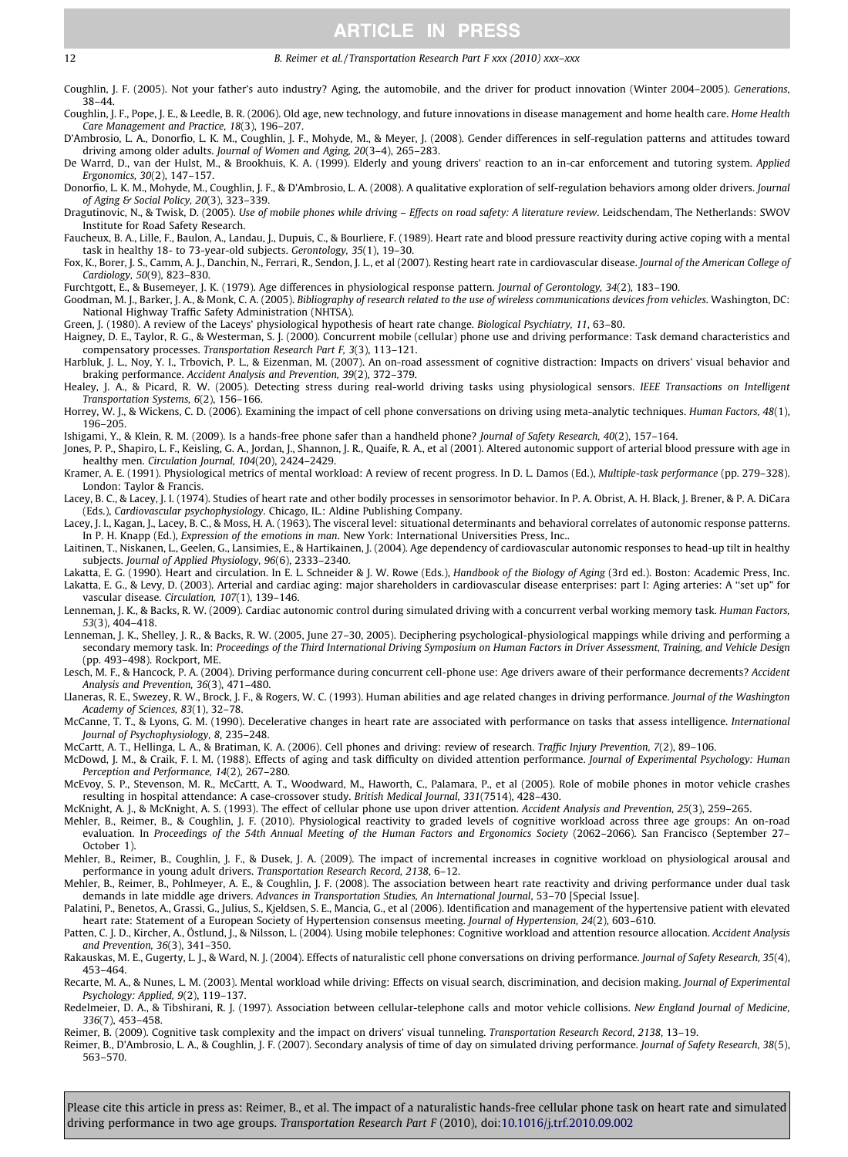#### <span id="page-11-0"></span>12 B. Reimer et al. / Transportation Research Part F xxx (2010) xxx–xxx

Coughlin, J. F. (2005). Not your father's auto industry? Aging, the automobile, and the driver for product innovation (Winter 2004–2005). Generations, 38–44.

Coughlin, J. F., Pope, J. E., & Leedle, B. R. (2006). Old age, new technology, and future innovations in disease management and home health care. Home Health Care Management and Practice, 18(3), 196–207.

D'Ambrosio, L. A., Donorfio, L. K. M., Coughlin, J. F., Mohyde, M., & Meyer, J. (2008). Gender differences in self-regulation patterns and attitudes toward driving among older adults. Journal of Women and Aging, 20(3–4), 265–283.

De Warrd, D., van der Hulst, M., & Brookhuis, K. A. (1999). Elderly and young drivers' reaction to an in-car enforcement and tutoring system. Applied Ergonomics, 30(2), 147–157.

Donorfio, L. K. M., Mohyde, M., Coughlin, J. F., & D'Ambrosio, L. A. (2008). A qualitative exploration of self-regulation behaviors among older drivers. Journal of Aging & Social Policy, 20(3), 323–339.

Dragutinovic, N., & Twisk, D. (2005). Use of mobile phones while driving - Effects on road safety: A literature review. Leidschendam, The Netherlands: SWOV Institute for Road Safety Research.

Faucheux, B. A., Lille, F., Baulon, A., Landau, J., Dupuis, C., & Bourliere, F. (1989). Heart rate and blood pressure reactivity during active coping with a mental task in healthy 18- to 73-year-old subjects. Gerontology, 35(1), 19–30.

Fox, K., Borer, J. S., Camm, A. J., Danchin, N., Ferrari, R., Sendon, J. L., et al (2007). Resting heart rate in cardiovascular disease. Journal of the American College of Cardiology, 50(9), 823–830.

Furchtgott, E., & Busemeyer, J. K. (1979). Age differences in physiological response pattern. Journal of Gerontology, 34(2), 183–190. Goodman, M. J., Barker, J. A., & Monk, C. A. (2005). Bibliography of research related to the use of wireless communications devices from vehicles. Washington, DC:

National Highway Traffic Safety Administration (NHTSA).

Green, J. (1980). A review of the Laceys' physiological hypothesis of heart rate change. Biological Psychiatry, 11, 63–80.

Haigney, D. E., Taylor, R. G., & Westerman, S. J. (2000). Concurrent mobile (cellular) phone use and driving performance: Task demand characteristics and compensatory processes. Transportation Research Part F, 3(3), 113–121.

Harbluk, J. L., Noy, Y. I., Trbovich, P. L., & Eizenman, M. (2007). An on-road assessment of cognitive distraction: Impacts on drivers' visual behavior and braking performance. Accident Analysis and Prevention, 39(2), 372–379.

Healey, J. A., & Picard, R. W. (2005). Detecting stress during real-world driving tasks using physiological sensors. IEEE Transactions on Intelligent Transportation Systems, 6(2), 156–166.

Horrey, W. J., & Wickens, C. D. (2006). Examining the impact of cell phone conversations on driving using meta-analytic techniques. Human Factors, 48(1), 196–205.

Ishigami, Y., & Klein, R. M. (2009). Is a hands-free phone safer than a handheld phone? Journal of Safety Research, 40(2), 157–164.

Jones, P. P., Shapiro, L. F., Keisling, G. A., Jordan, J., Shannon, J. R., Quaife, R. A., et al (2001). Altered autonomic support of arterial blood pressure with age in healthy men. Circulation Journal, 104(20), 2424–2429.

Kramer, A. E. (1991). Physiological metrics of mental workload: A review of recent progress. In D. L. Damos (Ed.), Multiple-task performance (pp. 279–328). London: Taylor & Francis.

Lacey, B. C., & Lacey, J. I. (1974). Studies of heart rate and other bodily processes in sensorimotor behavior. In P. A. Obrist, A. H. Black, J. Brener, & P. A. DiCara (Eds.), Cardiovascular psychophysiology. Chicago, IL.: Aldine Publishing Company.

Lacey, J. I., Kagan, J., Lacey, B. C., & Moss, H. A. (1963). The visceral level: situational determinants and behavioral correlates of autonomic response patterns. In P. H. Knapp (Ed.), Expression of the emotions in man. New York: International Universities Press, Inc..

Laitinen, T., Niskanen, L., Geelen, G., Lansimies, E., & Hartikainen, J. (2004). Age dependency of cardiovascular autonomic responses to head-up tilt in healthy subjects. Journal of Applied Physiology, 96(6), 2333–2340.

Lakatta, E. G. (1990). Heart and circulation. In E. L. Schneider & J. W. Rowe (Eds.), Handbook of the Biology of Aging (3rd ed.). Boston: Academic Press, Inc. Lakatta, E. G., & Levy, D. (2003). Arterial and cardiac aging: major shareholders in cardiovascular disease enterprises: part I: Aging arteries: A ''set up" for vascular disease. Circulation, 107(1), 139–146.

Lenneman, J. K., & Backs, R. W. (2009). Cardiac autonomic control during simulated driving with a concurrent verbal working memory task. Human Factors, 53(3), 404–418.

Lenneman, J. K., Shelley, J. R., & Backs, R. W. (2005, June 27–30, 2005). Deciphering psychological-physiological mappings while driving and performing a secondary memory task. In: Proceedings of the Third International Driving Symposium on Human Factors in Driver Assessment, Training, and Vehicle Design (pp. 493–498). Rockport, ME.

Lesch, M. F., & Hancock, P. A. (2004). Driving performance during concurrent cell-phone use: Age drivers aware of their performance decrements? Accident Analysis and Prevention, 36(3), 471–480.

Llaneras, R. E., Swezey, R. W., Brock, J. F., & Rogers, W. C. (1993). Human abilities and age related changes in driving performance. Journal of the Washington Academy of Sciences, 83(1), 32–78.

McCanne, T. T., & Lyons, G. M. (1990). Decelerative changes in heart rate are associated with performance on tasks that assess intelligence. International Journal of Psychophysiology, 8, 235–248.

McCartt, A. T., Hellinga, L. A., & Bratiman, K. A. (2006). Cell phones and driving: review of research. Traffic Injury Prevention, 7(2), 89–106.

McDowd, J. M., & Craik, F. I. M. (1988). Effects of aging and task difficulty on divided attention performance. Journal of Experimental Psychology: Human Perception and Performance, 14(2), 267–280.

McEvoy, S. P., Stevenson, M. R., McCartt, A. T., Woodward, M., Haworth, C., Palamara, P., et al (2005). Role of mobile phones in motor vehicle crashes resulting in hospital attendance: A case-crossover study. British Medical Journal, 331(7514), 428–430.

McKnight, A. J., & McKnight, A. S. (1993). The effect of cellular phone use upon driver attention. Accident Analysis and Prevention, 25(3), 259–265.

Mehler, B., Reimer, B., & Coughlin, J. F. (2010). Physiological reactivity to graded levels of cognitive workload across three age groups: An on-road evaluation. In Proceedings of the 54th Annual Meeting of the Human Factors and Ergonomics Society (2062–2066). San Francisco (September 27– October 1).

Mehler, B., Reimer, B., Coughlin, J. F., & Dusek, J. A. (2009). The impact of incremental increases in cognitive workload on physiological arousal and performance in young adult drivers. Transportation Research Record, 2138, 6–12.

Mehler, B., Reimer, B., Pohlmeyer, A. E., & Coughlin, J. F. (2008). The association between heart rate reactivity and driving performance under dual task demands in late middle age drivers. Advances in Transportation Studies, An International Journal, 53–70 [Special Issue].

Palatini, P., Benetos, A., Grassi, G., Julius, S., Kjeldsen, S. E., Mancia, G., et al (2006). Identification and management of the hypertensive patient with elevated heart rate: Statement of a European Society of Hypertension consensus meeting. Journal of Hypertension, 24(2), 603–610.

Patten, C. J. D., Kircher, A., Östlund, J., & Nilsson, L. (2004). Using mobile telephones: Cognitive workload and attention resource allocation. Accident Analysis and Prevention, 36(3), 341–350.

Rakauskas, M. E., Gugerty, L. J., & Ward, N. J. (2004). Effects of naturalistic cell phone conversations on driving performance. Journal of Safety Research, 35(4), 453–464.

Recarte, M. A., & Nunes, L. M. (2003). Mental workload while driving: Effects on visual search, discrimination, and decision making. Journal of Experimental Psychology: Applied, 9(2), 119–137.

Redelmeier, D. A., & Tibshirani, R. J. (1997). Association between cellular-telephone calls and motor vehicle collisions. New England Journal of Medicine, 336(7), 453–458.

Reimer, B. (2009). Cognitive task complexity and the impact on drivers' visual tunneling. Transportation Research Record, 2138, 13–19.

Reimer, B., D'Ambrosio, L. A., & Coughlin, J. F. (2007). Secondary analysis of time of day on simulated driving performance. Journal of Safety Research, 38(5), 563–570.